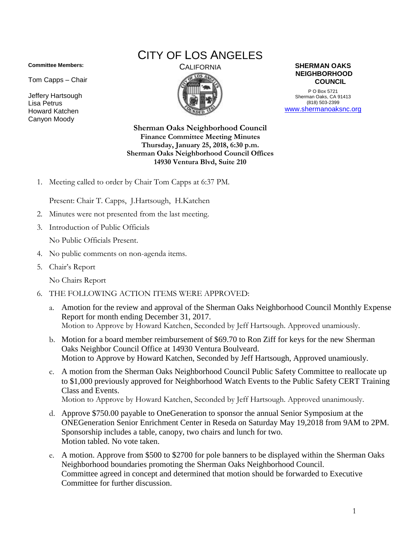## **Committee Members:**

Tom Capps – Chair

Jeffery Hartsough Lisa Petrus Howard Katchen Canyon Moody

## CITY OF LOS ANGELES



CALIFORNIA **SHERMAN OAKS NEIGHBORHOOD COUNCIL**

> P O Box 5721 Sherman Oaks, CA 91413 (818) 503-2399 [www.shermanoaksnc.org](http://www.shermanoaksnc.org/)

**Sherman Oaks Neighborhood Council Finance Committee Meeting Minutes Thursday, January 25, 2018, 6:30 p.m. Sherman Oaks Neighborhood Council Offices 14930 Ventura Blvd, Suite 210**

1. Meeting called to order by Chair Tom Capps at 6:37 PM.

Present: Chair T. Capps, J.Hartsough, H.Katchen

- 2. Minutes were not presented from the last meeting.
- 3. Introduction of Public Officials

No Public Officials Present.

- 4. No public comments on non-agenda items.
- 5. Chair's Report

No Chairs Report

- 6. THE FOLLOWING ACTION ITEMS WERE APPROVED:
	- a. Amotion for the review and approval of the Sherman Oaks Neighborhood Council Monthly Expense Report for month ending December 31, 2017. Motion to Approve by Howard Katchen, Seconded by Jeff Hartsough. Approved unamiously.
	- b. Motion for a board member reimbursement of \$69.70 to Ron Ziff for keys for the new Sherman Oaks Neighbor Council Office at 14930 Ventura Boulveard. Motion to Approve by Howard Katchen, Seconded by Jeff Hartsough, Approved unamiously.
	- c. A motion from the Sherman Oaks Neighborhood Council Public Safety Committee to reallocate up to \$1,000 previously approved for Neighborhood Watch Events to the Public Safety CERT Training Class and Events. Motion to Approve by Howard Katchen, Seconded by Jeff Hartsough. Approved unanimously.
	- d. Approve \$750.00 payable to OneGeneration to sponsor the annual Senior Symposium at the ONEGeneration Senior Enrichment Center in Reseda on Saturday May 19,2018 from 9AM to 2PM. Sponsorship includes a table, canopy, two chairs and lunch for two. Motion tabled. No vote taken.
	- e. A motion. Approve from \$500 to \$2700 for pole banners to be displayed within the Sherman Oaks Neighborhood boundaries promoting the Sherman Oaks Neighborhood Council. Committee agreed in concept and determined that motion should be forwarded to Executive Committee for further discussion.